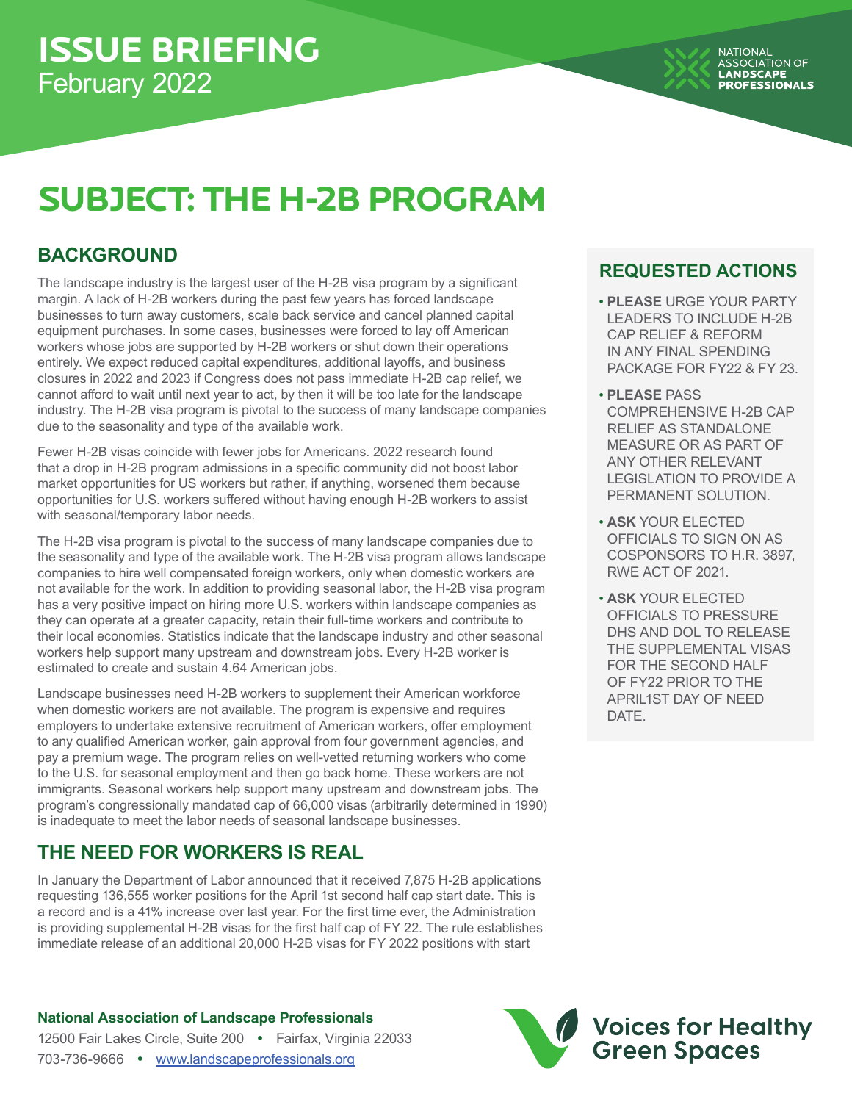# **SUBJECT: THE H-2B PROGRAM**

## **BACKGROUND**

The landscape industry is the largest user of the H-2B visa program by a significant margin. A lack of H-2B workers during the past few years has forced landscape businesses to turn away customers, scale back service and cancel planned capital equipment purchases. In some cases, businesses were forced to lay off American workers whose jobs are supported by H-2B workers or shut down their operations entirely. We expect reduced capital expenditures, additional layoffs, and business closures in 2022 and 2023 if Congress does not pass immediate H-2B cap relief, we cannot afford to wait until next year to act, by then it will be too late for the landscape industry. The H-2B visa program is pivotal to the success of many landscape companies due to the seasonality and type of the available work.

Fewer H-2B visas coincide with fewer jobs for Americans. 2022 research found that a drop in H-2B program admissions in a specific community did not boost labor market opportunities for US workers but rather, if anything, worsened them because opportunities for U.S. workers suffered without having enough H-2B workers to assist with seasonal/temporary labor needs.

The H-2B visa program is pivotal to the success of many landscape companies due to the seasonality and type of the available work. The H-2B visa program allows landscape companies to hire well compensated foreign workers, only when domestic workers are not available for the work. In addition to providing seasonal labor, the H-2B visa program has a very positive impact on hiring more U.S. workers within landscape companies as they can operate at a greater capacity, retain their full-time workers and contribute to their local economies. Statistics indicate that the landscape industry and other seasonal workers help support many upstream and downstream jobs. Every H-2B worker is estimated to create and sustain 4.64 American jobs.

Landscape businesses need H-2B workers to supplement their American workforce when domestic workers are not available. The program is expensive and requires employers to undertake extensive recruitment of American workers, offer employment to any qualified American worker, gain approval from four government agencies, and pay a premium wage. The program relies on well-vetted returning workers who come to the U.S. for seasonal employment and then go back home. These workers are not immigrants. Seasonal workers help support many upstream and downstream jobs. The program's congressionally mandated cap of 66,000 visas (arbitrarily determined in 1990) is inadequate to meet the labor needs of seasonal landscape businesses.

### **THE NEED FOR WORKERS IS REAL**

In January the Department of Labor announced that it received 7,875 H-2B applications requesting 136,555 worker positions for the April 1st second half cap start date. This is a record and is a 41% increase over last year. For the first time ever, the Administration is providing supplemental H-2B visas for the first half cap of FY 22. The rule establishes immediate release of an additional 20,000 H-2B visas for FY 2022 positions with start

#### **National Association of Landscape Professionals**

12500 Fair Lakes Circle, Suite 200 **•** Fairfax, Virginia 22033 703-736-9666 **•** www.landscapeprofessionals.org

#### **REQUESTED ACTIONS**

- **PLEASE** URGE YOUR PARTY LEADERS TO INCLUDE H-2B CAP RELIEF & REFORM IN ANY FINAL SPENDING PACKAGE FOR FY22 & FY 23.
- **PLEASE** PASS COMPREHENSIVE H-2B CAP RELIEF AS STANDALONE MEASURE OR AS PART OF ANY OTHER RELEVANT LEGISLATION TO PROVIDE A PERMANENT SOLUTION.
- **ASK** YOUR ELECTED OFFICIALS TO SIGN ON AS COSPONSORS TO H.R. 3897, RWE ACT OF 2021.
- **ASK** YOUR ELECTED OFFICIALS TO PRESSURE DHS AND DOL TO RELEASE THE SUPPLEMENTAL VISAS FOR THE SECOND HALF OF FY22 PRIOR TO THE APRIL1ST DAY OF NEED DATE.